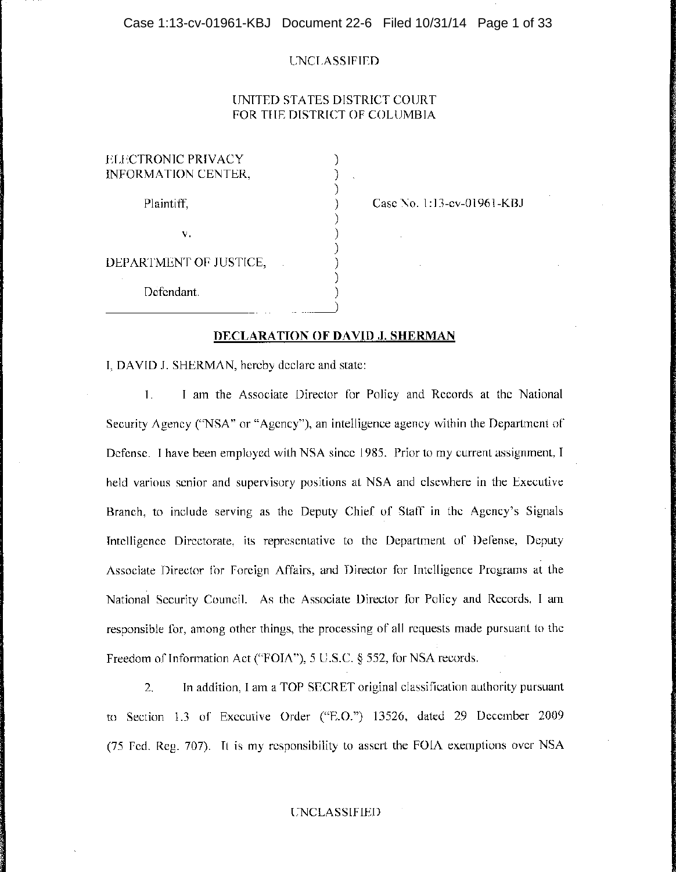# UNITED STATES DISTRICT COURT FOR THE DISTRICT OF COLUMBIA

) ) ) ) ) ) ) ) )

| ELECTRONIC PRIVACY<br>INFORMATION CENTER, |  |
|-------------------------------------------|--|
| Plaintiff.                                |  |
| v.                                        |  |
| DEPARTMENT OF JUSTICE,                    |  |
| Defendant.                                |  |

r;----~~------ --

Case No. 1:13-cv-01961-KBJ

) )

### **DECLARATION OF DAVID J. SHERMAN**

I, DAVID J. SHERMAN, hereby declare and state:

1. I am the Associate Director for Policy and Records at the National Security Agency ("NSA" or "Agency"), an intelligence agency within the Department of Defense. I have been employed with NSA since 1985. Prior to my current assignment, I held various senior and supervisory positions at NSA and elsewhere in the Executive Branch, to include serving as the Deputy Chief of Staff in the Agency's Signals Intelligence Directorate, its representative to the Department of Defense, Deputy Associate Director for Foreign Affairs, and Director for Intelligence Programs at the National Security Council. As the Associate Director for Policy and Records, I am responsible for, among other things, the processing of all requests made pursuant to the I Freedom of Information Act ("FOIA"), 5 U.S.C. § 552, for NSA records.

2. **In** addition, I am a TOP SECRET original classification authority pursuant to Section 1.3 of Executive Order ("E.O.") 13526, dated 29 December 2009 (75 Fed. Reg. 707). It is my responsibility to assert the FOIA exemptions over NSA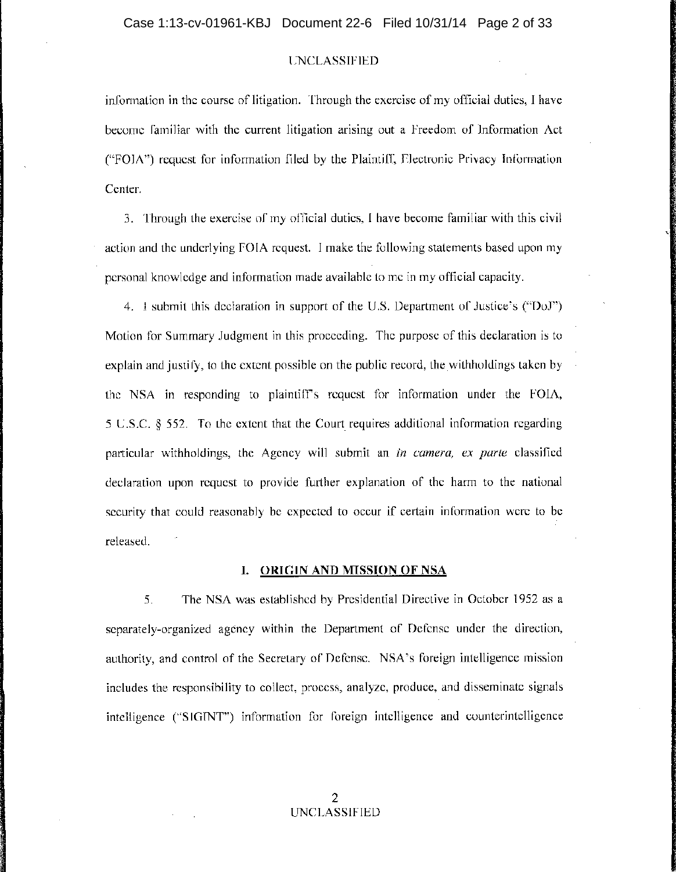infonnation in the course of litigation. Through the exercise of my official duties, I have become familiar with the current litigation arising out a Freedom of Information Act ("FOIA") request for information filed by the Plaintiff, Electronic Privacy Infonnation Center.

3. Through the exercise of my official duties, I have become familiar with this civil action and the underlying FOIA request. I make the following statements based upon my personal knowledge and infonnation made available to me in my official capacity.

4. I submit this declaration in support of the U.S. Department of Justice's ("DoJ") Motion for Summary Judgment in this proceeding. The purpose of this declaration is to explain and justify, to the extent possible on the public record, the withholdings taken by the NSA in responding to plaintiff's request for information under the FOIA,  $5 \text{ U.S.C. }$  § 552. To the extent that the Court requires additional information regarding particular withholdings, the Agency will submit an *in camera, ex parte* classified declaration upon request to provide further explanation of the hann to the national security that could reasonably be expected to occur if certain infonnation were to be released.

### **I. ORIGIN AND MISSION OF** NSA

5. The NSA was established by Presidential Directive in October 1952 as a separately-organized agency within the Department of Defense under the direction, authority, and control of the Secretary of Defense. NSA's foreign intelligence mission includes the responsibility to collect, process, analyze, produce, and disseminate signals intelligence ("SIGINT") infonnation for foreign intelligence and counterintelligence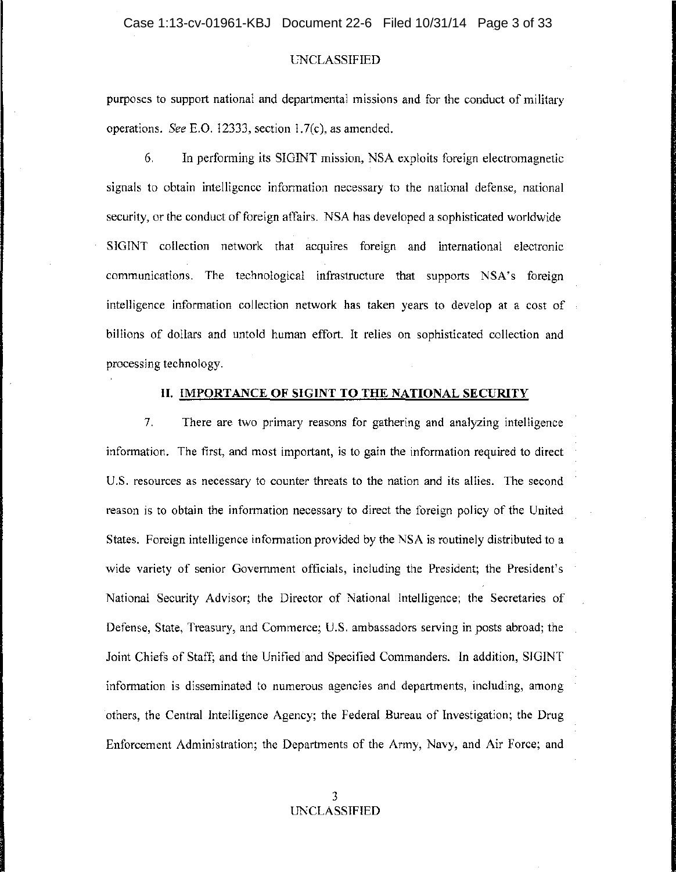purposes to support national and departmental missions and for the conduct of military operations. *See* E.O. 12333, section 1.7(c), as amended.

6. In performing its SIGINT mission, NSA exploits foreign electromagnetic signals to obtain intelligence information necessary to the national defense, national security, or the conduct of foreign affairs. NSA has developed a sophisticated worldwide SIGINT collection network that acquires foreign and international electronic communications. The technological infrastructure that supports NSA's foreign intelligence information collection network has taken years to develop at a cost of billions of dollars and untold human effort. It relies on sophisticated collection and processing technology.

### **II. IMPORTANCE OF SIGINT TO THE NATIONAL SECURITY**

7. There are two primary reasons for gathering and analyzing intelligence information. The first, and most important, is to gain the information required to direct U.S. resources as necessary to counter threats to the nation and its allies. The second reason is to obtain the information necessary to direct the foreign policy of the United States. Foreign intelligence information provided by the NSA is routinely distributed to a wide variety of senior Government officials, including the President; the President's National Security Advisor; the Director of National Intelligence; the Secretaries of Defense, State, Treasury, and Commerce; U.S. ambassadors serving in posts abroad; the Joint Chiefs of Staff; and the Unified and Specified Commanders. In addition, SIGINT information is disseminated to numerous agencies and departments, including, among others, the Central Intelligence Agency; the Federal Bureau of Investigation; the Drug Enforcement Administration; the Departments of the Army, Navy, and Air Force; and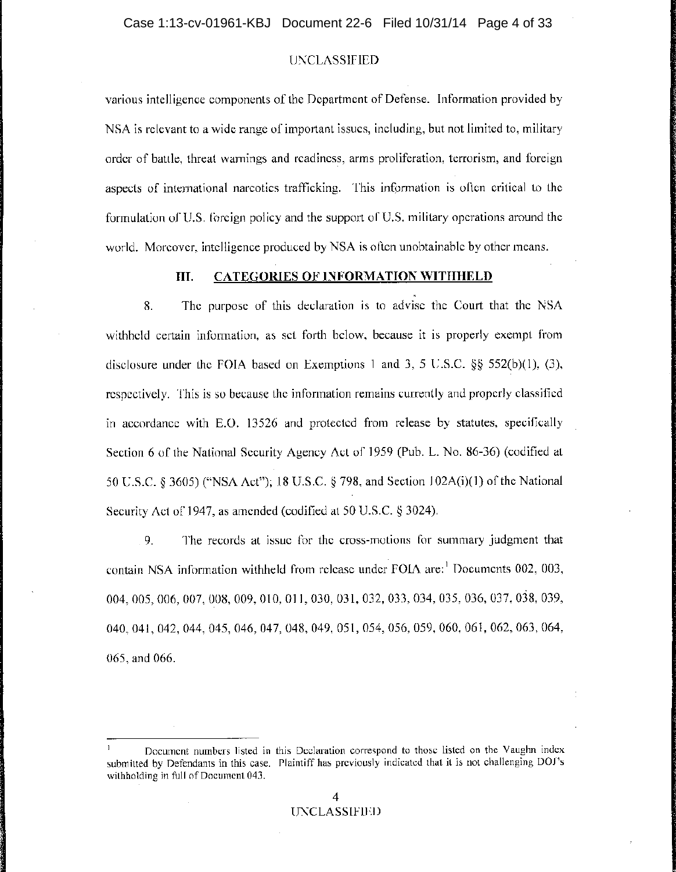various intelligence components of the Department of Defense. Information provided by NSA is relevant to a wide range of important issues, including, but not limited to, military order of battle, threat warnings and readiness, arms proliferation, terrorism, and foreign aspects of international narcotics trafficking. This information is often critical to the formulation of U.S. foreign policy and the support of U.S. military operations around the world. Moreover, intelligence produced by NSA is often unobtainable by other means.

# **III. CATEGORIES OF INFORMATION WITHHELD**

8. The purpose of this declaration is to advise the Court that the NSA withheld certain information, as set forth below, because it is properly exempt from disclosure under the FOIA based on Exemptions 1 and 3, 5 U.S.C. §§ 552(b)(1), (3), respectively. This is so because the information remains currently and properly classified in accordance with E.O. 13526 and protected from release by statutes, specifically Section 6 of the National Security Agency Act of 1959 (Pub. L. No. 86-36) (codified at 50 U.S.C. § 3605) ("NSA Act"); 18 U.S.C. § 798, and Section 1 02A(i)(1) of the National Security Act of 1947, as amended (codified at 50 U.S.C. § 3024).

, 9. The records at issue for the cross-motions for summary judgment that contain NSA information withheld from release under FOIA are:! Documents 002, 003, 004,005,006,007,008,009,010,011,030,031,032,033,034,035,036,037,038,039, 040,041,042,044,045,046,047,048,049,051,054,056,059,060,061,062,063,064, 065, and 066.

Document numbers listed in this Declaration correspond to those listed on the Vaughn index submitted by Defendants in this case. Plaintiff has previously indicated that it is not challenging DOl's withholding in full of Document 043.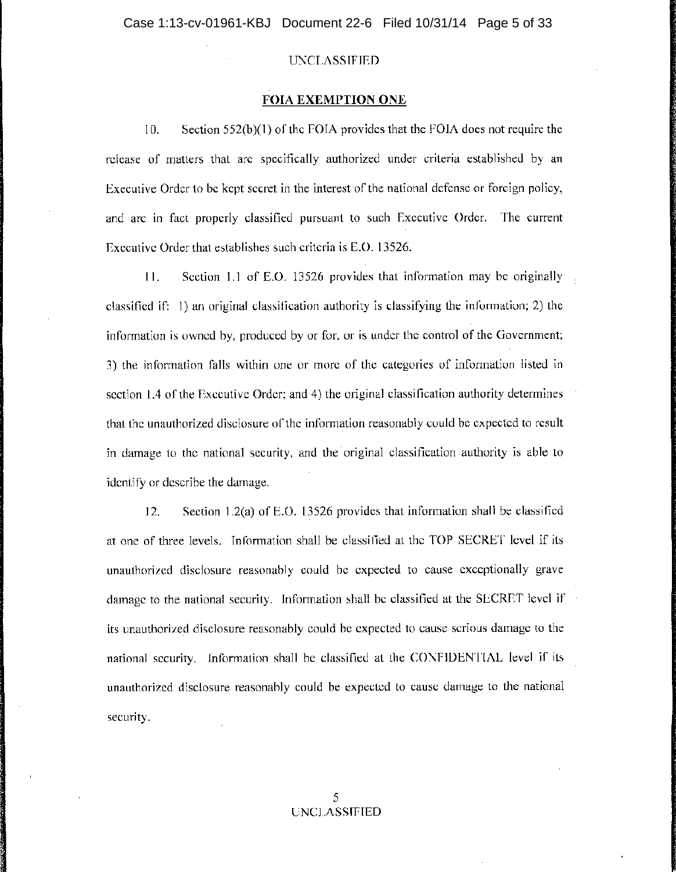### **FOIA EXEMPTION ONE**

10. Section 552(b)(I) of the FOIA provides that the FOIA does not require the release of matters that are specifically authorized under criteria established by an Executive Order to be kept secret in the interest of the national defense or foreign policy, and are in fact properly classified pursuant to such Executive Order. The current Executive Order that establishes such criteria is E.O. 13526.

11. Section 1.1 of E.O. 13526 provides that information may be originally classified if: 1) an original classification authority is classifying the information; 2) the information is owned by, produced by or for, or is under the control of the Government; 3) the information falls within one or more of the categories of information listed in section 1.4 of the Executive Order; and 4) the original classification authority determines that the unauthorized disclosure of the information reasonably could be expected to result in damage to the national security, and the original classification authority is able to identify or describe the damage.

12. Section 1.2(a) of E.O. 13526 provides that information shall be classified at one of three levels. Information shall be classified at the TOP SECRET level if its unauthorized disclosure reasonably could be expected to cause exceptionally grave ' damage to the national security. Information shall be classified at the SECRET level if its unauthorized disclosure reasonably could be expected to cause serious damage to the national security. Information shall be classified at the CONFIDENTIAL level if its unauthorized disclosure reasonably could be expected to cause damage to the national security.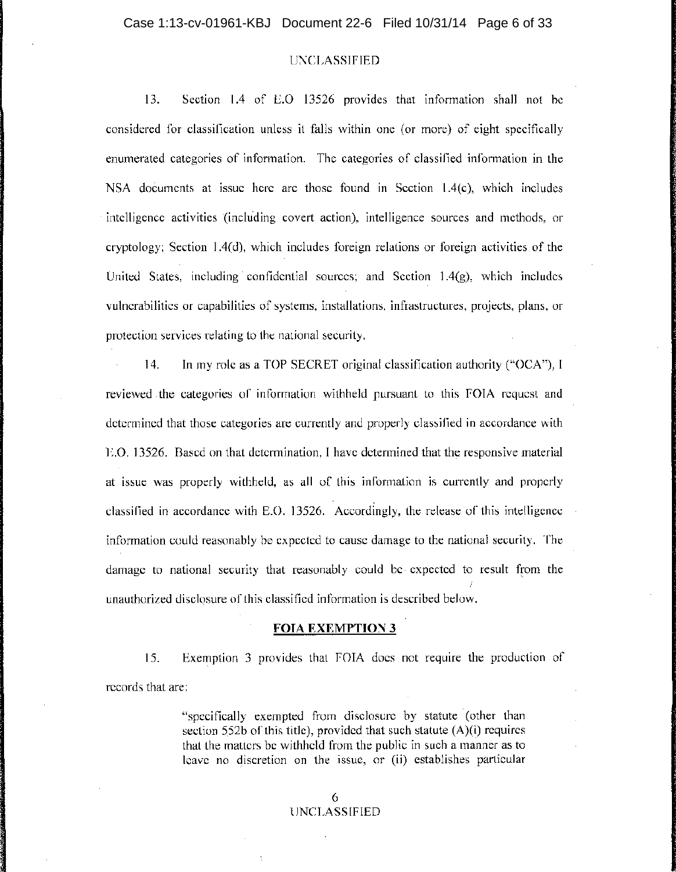13. Section 1.4 of E.O 13526 provides that information shall not be considered for classification unless it falls within one (or more) of eight specifically. enumerated categories of information. The categories of classified information in the NSA documents at issue here are those found in Section  $1.4(c)$ , which includes intelligence activities (including covert action), intelligence sources and methods, or cryptology; Section 1.4(d), which includes foreign relations or foreign activities of the United States, including confidential sources; and Section  $1.4(g)$ , which includes vulnerabilities or capabilities of systems, installations, infrastructures, projects, plans, or protection services relating to the national security.

14. In my role as a TOP SECRET original classification authority ("OCA"), I reviewed. the categories of information withheld pursuant to this FOIA request and determined that those categories are currently and properly classified in accordance with  $E.$ O. 13526. Based on that determination, I have determined that the responsive material at issue was properly withheld, as all of this information is currently and properly classified in accordance with E.O. 13526. Accordingly, the release of this intelligence information could reasonably be expected to cause damage to the national security. The damage to national security that reasonably could be· expected to result from the *j*  unauthorized disclosure of this classified information is described below.

#### **FOIA EXEMPTION 3**

15. Exemption 3 provides that FOIA does not require the production of records that are:

> "specifically exempted from disclosure by statute (other than section 5,52b of this title), provided that such statute (A)(i) requires that the matters be withheld from the public in such a manner as to leave no discretion on the issue, or (ii) establishes particular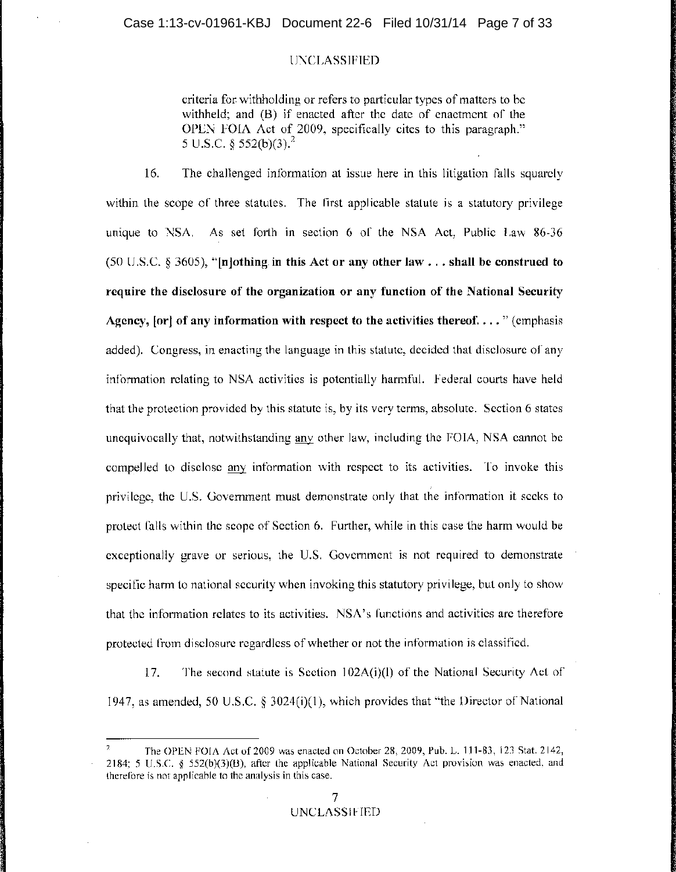criteria for withholding or refers to particular types of matters to be withheld; and (B) if enacted after the date of enactment of the OPEN FOIA Act of 2009, specifically cites to this paragraph." 5 U.S.C. § 552(b)(3).<sup>2</sup>

16. The challenged information at issue here in this litigation falls squarely , within the scope of three statutes. The first applicable statute is a statutory privilege unique to NSA. As set forth in section 6 of the NSA Act, Public Law 86-36 (50 U.S.C. § 3605), **"[n]othing in this Act or any other law .** .. **shall be construed to require the disclosure of the organization or any function of the National Security**  Agency, **[or] of any information with respect to the activities thereof .** ... " (emphasis added). Congress, in enacting the language in this statute, decided that disclosure of any information relating to NSA activities is potentially harmful. Federal courts have held that the protection provided by this statute is, by its very terms, absolute. Section 6 states unequivocally that, notwithstanding any other law, including the FOIA, NSA cannot be compelled to disclose any information with respect to its activities. To invoke this privilege, the U.S. Government must demonstrate only that the information it seeks to protect falls within the scope of Section 6. Further, while in this case the harm would be exceptionally grave or serious, the U.S. Government is not required to demonstrate specific harm to national security when invoking this statutory privilege, but only to show that the information relates to its activities. NSA's functions and activities are therefore protected from disclosure regardless of whether or not the information is classified.

17. The second statute is Section 102A(i)(l) of the National Security Act of 1947, as amended, 50 U.S.C. § 3024(i)(1), which provides that "the Director of National

<sup>2</sup>The OPEN FOIA Act of 2009 was enacted on October 28, 2009, Pub. L. 111-83, 123 Stat. 2142, 2184; 5 U.S.C. § 552(b)(3)(B), after the applicable National Security Act provision was enacted, and therefore is not applicable to the analysis in this case.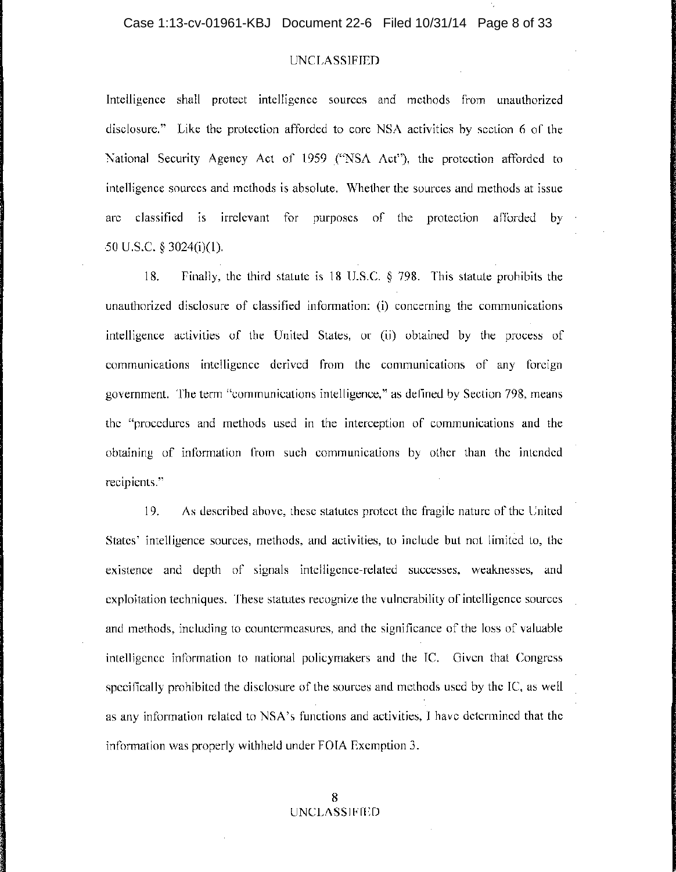Intelligence shall protect intelligence sources and methods from unauthorized disclosure." Like the protection afforded to core NSA activities by section 6 of the National Security Agency Act of 1959 ("NSA Act"), the protection afforded to intelligence sources and methods is absolute. Whether the sources and methods at issue are classified is irrelevant for purposes of the protection afforded by 50 U.S.C. § 3024(i)(1).

18. Finally, the third statute is 18 U.S.C. § 798. This statute prohibits the unauthorized disclosure of classified information: (i) concerning the communications intelligence activities of the United States, or (ii) obtained by the process of communications intelligence derived from the communications of any foreign government. The term "communications intelligence," as defined by Section 798, means the "procedures and methods used in the interception of communications and the obtaining of information from such communications by other than the intended recipients."

19. As described above, these statutes protect the fragile nature of the United States' intelligence sources, methods, and activities, to include but not limited to, the existence and depth of signals intelligence-related successes, weaknesses, and exploitation techniques. These statutes recognize the vulnerability of intelligence sources and methods, including to countermeasures, and the significance of the loss of valuable intelligence information to national policymakers and the IC. Given that Congress specifically prohibited the disclosure of the sources and methods used by the IC, as well  $\frac{1}{2}$ as any information related to NSA's functions and activities, I have determined that the information was properly withheld under FOIA Exemption 3.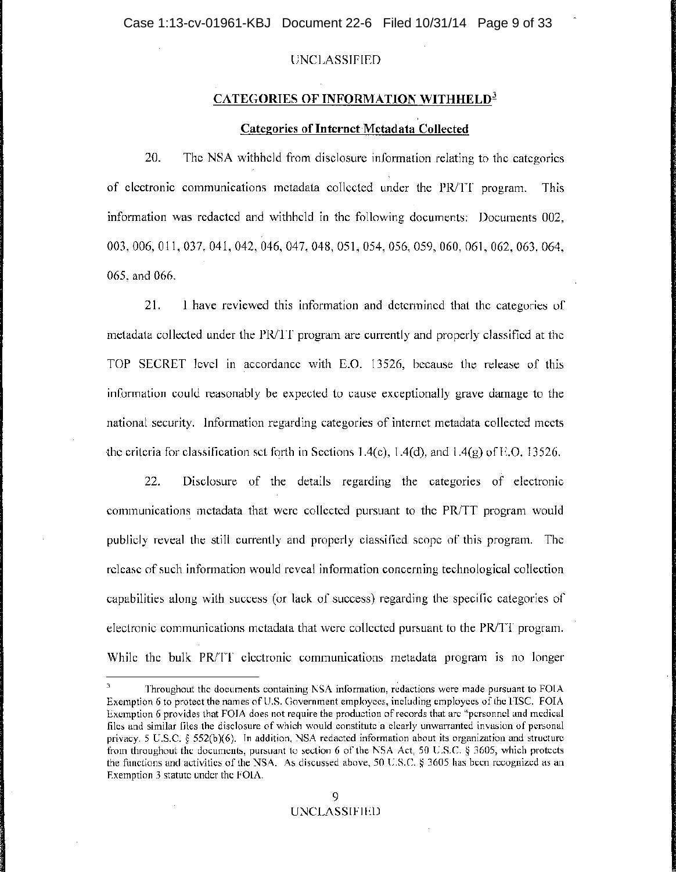### **CATEGORIES OF INFORMATION WITHHELD<sup>3</sup>**

## **Categories of** Internet Metadata **Collected**

20. The NSA withheld from disclosure information relating to the categories of electronic communications metadata collected under the PRITT program. This information was redacted and withheld in the following documents: Documents 002, 003,006,011,037,041,042,046,047,048,051,054,056,059,060,061,062,063,064, 065, and 066.

21. I have reviewed this information and determined that the categories of metadata collected under the PR/TT program are currently and properly classified at the TOP SECRET level in accordance with E.O. 13526, because the release of this information could reasonably be expected to cause exceptionally grave damage to the national security. Information regarding categories of internet metadata collected meets the criteria for classification set forth in Sections 1.4(c), 1.4(d), and 1.4(g) of E.O. 13526.

22. Disclosure of the details regarding the categories of electronic communications metadata that were collected pursuant to the PR/TT program would publicly reveal the still currently and properly classified scope of this program. The release of such information would reveal information concerning technological collection capabilities along with success (or lack of success) regarding the specific categories of electronic communications metadata that were collected pursuant to the PRITT program. While the bulk PR/IT electronic communications metadata program is no longer

Throughout the documents containing NSA information, redactions were made pursuant to FOIA Exemption 6 to protect the names of US. Government employees, including employees of the FISC. FOIA Exemption 6 provides that FOIA does not require the production of records that are "personnel and medical files and similar files the disclosure of which would constitute a clearly unwarranted invasion of personal privacy. 5 US.C. § 552(b)(6). In addition, NSA redacted information about its organization and structure from throughout the documents, pursuant to section 6 of the NSA Act, 50 US.c. § 3605, which protects the functions and activities of the NSA. As discussed above, 50 U.S.C. § 3605 has been recognized as an Exemption 3 statute under the FOIA.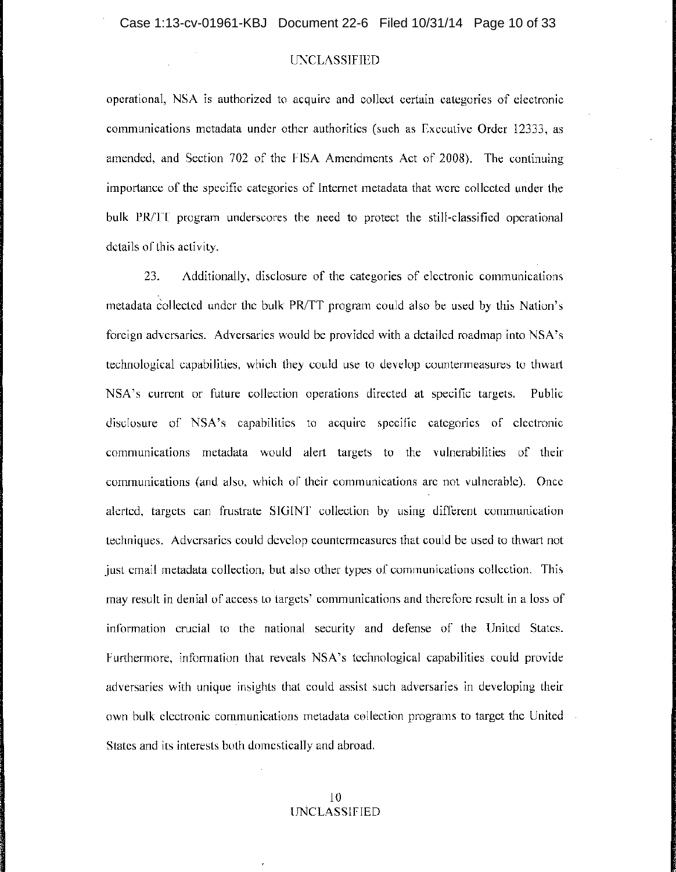operational, NSA is authorized to acquire and collect certain categories of electronic communications metadata under other authorities (such as Executive Order 12333, as amended, and Section 702 of the FISA Amendments Act of 2008). The continuing importance of the specific categories of Internet metadata that were collected under the bulk PR/TT program underscores the need to protect the still-classified operational details of this activity.

23. Additionally, disclosure of the categories of electronic communications metadata collected under the bulk PR/TT program could also be used by this Nation's foreign adversaries. Adversaries would be provided with a detailed roadmap into NSA's technological capabilities, which they could use to develop countermeasures to thwart NSA's current or future collection operations directed at specific targets. Public disclosure of NSA's capabilities to acquire specific categories of electronic communications metadata would alert targets to the vulnerabilities of their communications (and also, which of their communications are not vulnerable). Once alerted, targets can frustrate SIGINT collection by using different communication techniques. Adversaries could develop countermeasures that could be used to thwart not just email metadata collection, but also other types of communications collection. This may result in denial of access to targets' communications and therefore result in a loss of information crucial to the national security and defense of the United States. Furthermore, information that reveals NSA's technological capabilities could provide adversaries with unique insights that could assist such adversaries in developing their own bulk electronic communications metadata collection programs to target the United States and its interests both domestically and abroad.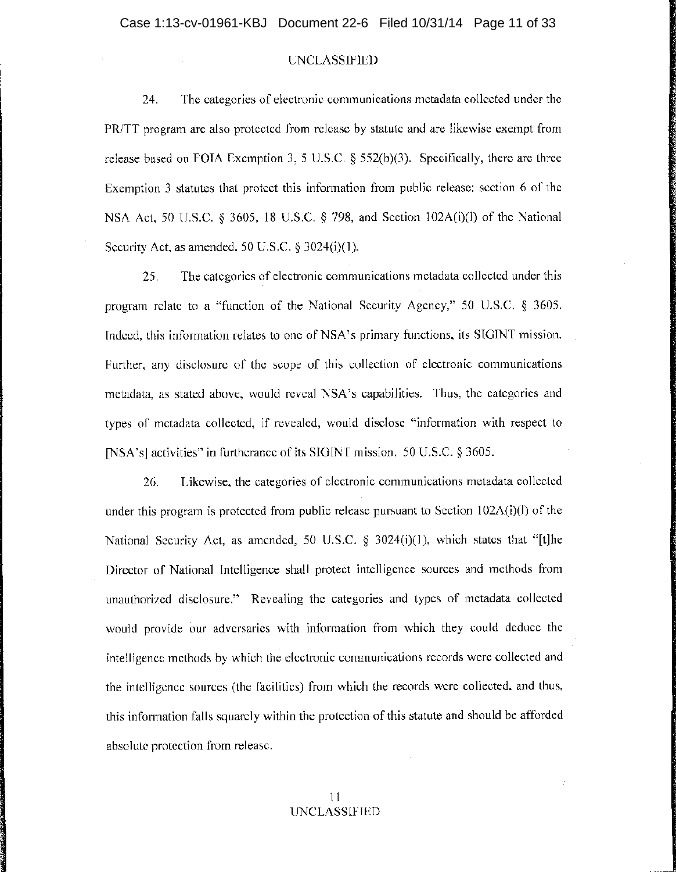24. The categories of electronic communications metadata collected under the PR/TT program are also protected from release by statute and are likewise exempt from release based on FOIA Exemption 3, 5 U.S.C. § 552(b)(3). Specifically, there are three Exemption 3 statutes that protect this information from public release: section 6 of the NSA Act, 50 U.S.C. § 3605, 18 U.S.C. § 798, and Section 102A(i)(l) of the National Security Act, as amended, 50 U.S.C. § 3024(i)(I).

25. The categories of electronic communications metadata collected under this program relate to a "function of the National Security Agency," 50 U.S.C. § 3605. Indeed, this information relates to one of NSA's primary functions, its SIGINT mission. Further, any disclosure of the scope of this collection of electronic communications metadata, as stated above, would reveal NSA's capabilities. Thus, the categories and types of metadata collected, if revealed, would disclose "information with respect to [NSA's] activities" in furtherance of its SIGINT mission. 50 U.S.C. § 3605.

26. Likewise, the categories of electronic communications metadata collected under this program is protected from public release pursuant to Section  $102\Lambda(i)(l)$  of the National Security Act, as amended, 50 U.S.C.  $\S$  3024(i)(1), which states that "[t]he Director of National Intelligence shall protect intelligence sources and methods from unauthorized disclosure." Revealing the categories and types of metadata collected would provide our adversaries with information from which they could deduce the intelligence methods by which the electronic communications records were collected and the intelligence sources (the facilities) from which the records were collected, and thus, this information falls squarely within the protection of this statute and should be afforded absolute protection from release.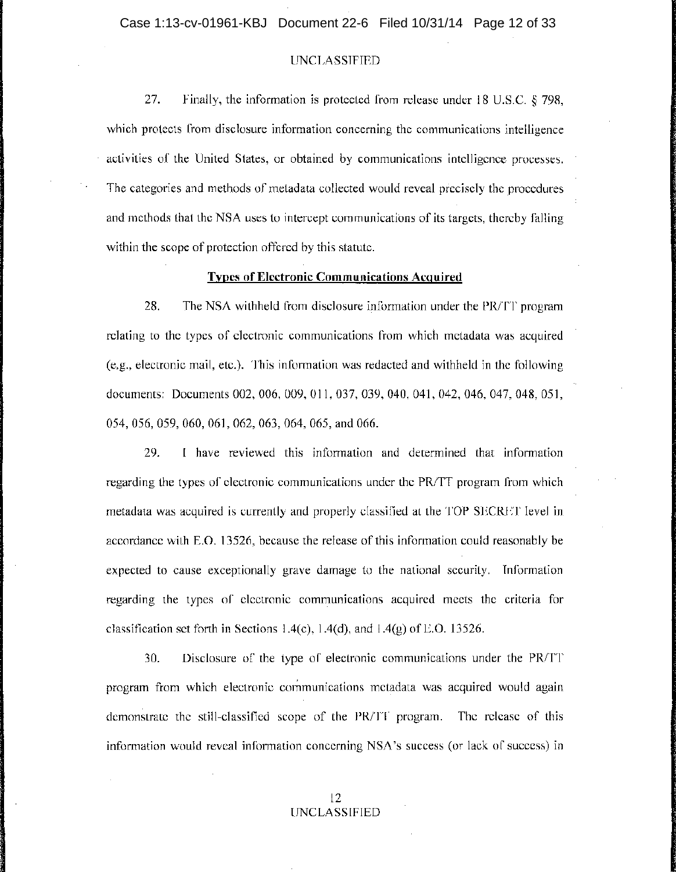27. Finally, the information is protected from release under 18 U.S.C.  $\S$  798, which protects from disclosure information concerning the communications intelligence activities of the United States, or obtained by communications intelligence processes. The categories and methods of metadata collected would reveal precisely the procedures and methods that the NSA uses to intercept communications of its targets, thereby falling within the scope of protection offered by this statute.

#### **Types of Electronic Communications Acquired**

28. The NSA withheld from disclosure information under the PR/TT program relating to the types of electronic communications from which metadata was acquired (e,g., electronic mail, etc.). This information was redacted and withheld in the following <sup>I</sup> documents: Documents 002, 006, 009, 011, 037, 039, 040, 041, 042, 046, 047, 048, 051, 054,056,059,060,061,062,063,064,065, and 066.

29. I have reviewed this information and determined that information regarding the types of electronic communications under the PR/TT program from which metadata was acquired is currently and properly classified at the TOP SECRET level in accordance with E.O. 13526, because the release of this information could reasonably be expected to cause exceptionally grave damage to the national security. Information regarding the types of electronic communications acquired meets the criteria for classification set forth in Sections 1.4(c), 1.4(d), and 1.4(g) of E.O. 13526.

30. Disclosure of the type of electronic communications under the PRITT program from which electronic communications metadata was acquired would again demonstrate the still-classified scope of the PR/IT program. The release of this information would reveal information concerning NSA's success (or lack of success) in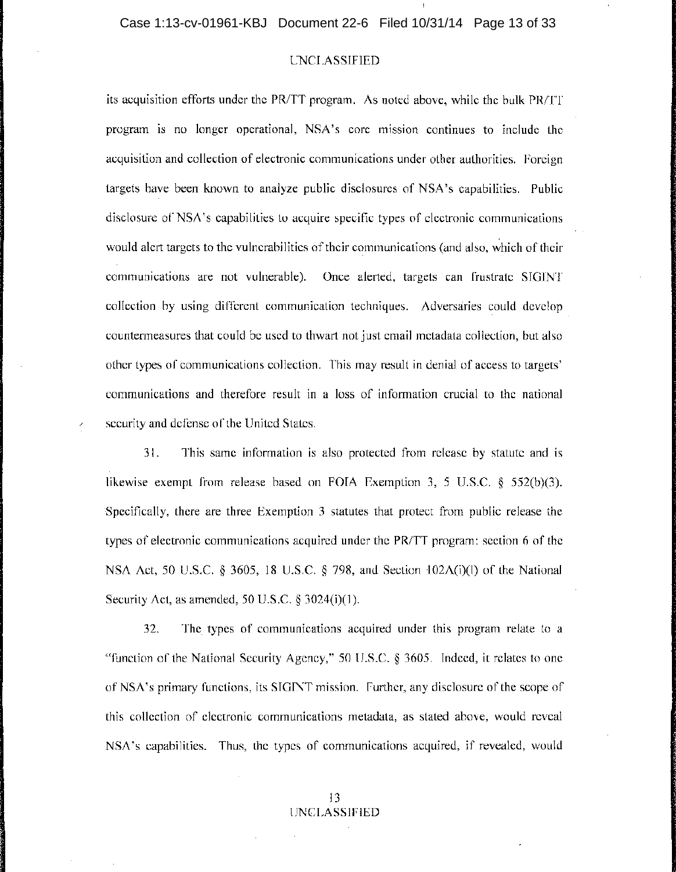its acquisition efforts under the PR/TT program. As noted above, while the bulk  $PR/TT$ program is no longer operational, NSA's core mission continues to include the acquisition and collection of electronic communications under other authorities. Foreign targets have been known to analyze public disclosures of NSA's capabilities. Public ' disclosure of NSA's capabilities to acquire specific types of electronic communications , would alert targets to the vulnerabilities of their communications (and also, which of their communications are not vulnerable). Once alerted, targets can frustrate SIGINT collection by using different communication techniques. Adversaries could develop countermeasures that could be used to thwart not just email metadata collection, but also other types of communications collection. This may result in denial of access to targets' communications and therefore result in a loss of information crucial to the national security and defense of the United States.

31. This same information is also protected from release by statute and is , likewise exempt from release based on FOIA Exemption 3, 5 U.S.C. § 552(b)(3). )Specifically, there are three Exemption 3 statutes that protect from public release the types of electronic communications acquired under the PR/TT program: section 6 of the NSA Act, 50 U.S.C. § 3605, 18 U.S.C. § 798, and Section '102A(i)(l) of the National Security Act, as amended, 50 U.S.C. § 3024(i)(I).

32. The types of communications acquired under this program relate to a "function of the National Security Agency," 50 U.S.C. § 3605. Indeed, it relates to one ' ofNSA's primary functions, its SIGINT mission. Further, any disclosure of the scope of this collection of electronic communications metadata, as stated above, would reveal NSA's capabilities. Thus, the types of communications acquired, if revealed, would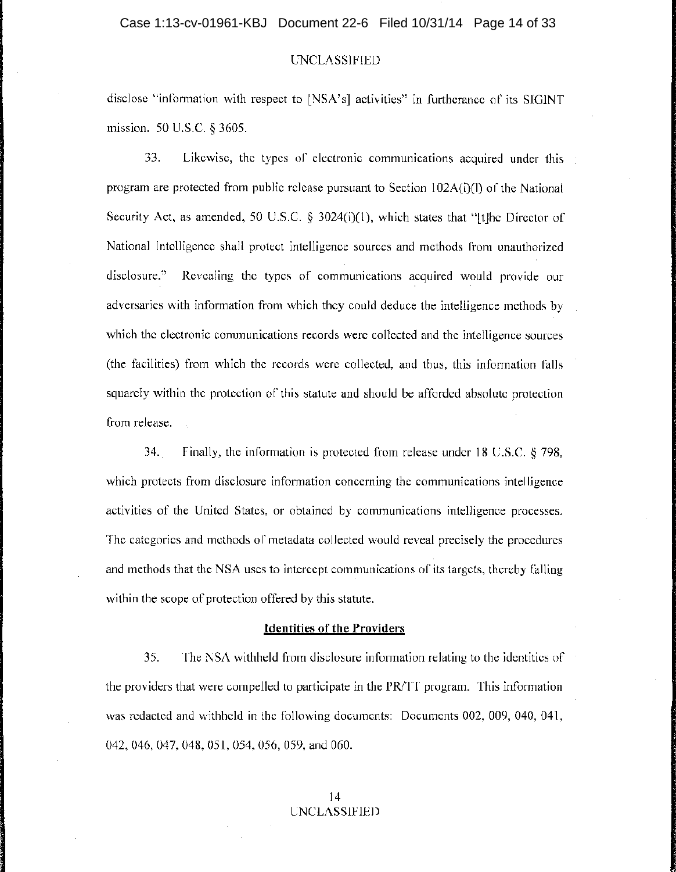disclose "information with respect to [NSA's] activities" in furtherance of its SIGINT <sup>1</sup> mission. 50 U.S.C. § 3605.

33. Likewise, the types of electronic communications acquired under this <sup>I</sup> program are protected from public release pursuant to Section  $102A(i)$ (l) of the National Security Act, as amended, 50 U.S.C.  $\S$  3024(i)(1), which states that "[t]he Director of National Intelligence shall protect intelligence sources and methods from unauthorized disclosure." Revealing the types of communications acquired would provide our adversaries with information from which they could deduce the intelligence methods by which the electronic communications records were collected and the intelligence sources (the facilities) from which the records were collected, and thus, this information falls squarely within the protection of this statute and should be afforded absolute protection from release.

34. Finally, the information is protected from release under 18 U.S.C. § 798, which protects from disclosure information concerning the communications intelligence activities of the United States, or obtained by communications intelligence processes. The categories and methods of metadata collected would reveal precisely the procedures and methods that the NSA uses to intercept communications of its targets, thereby falling within the scope of protection offered by this statute.

#### **Identities of the Providers**

35. The NSA withheld from disclosure information relating to the identities of the providers that were compelled to participate **in** the PRITT program. This information was redacted and withheld **in** the following documents: Documents 002, 009, 040, 041, 042, 046, 047, 048, 051, 054, 056, 059, and 060.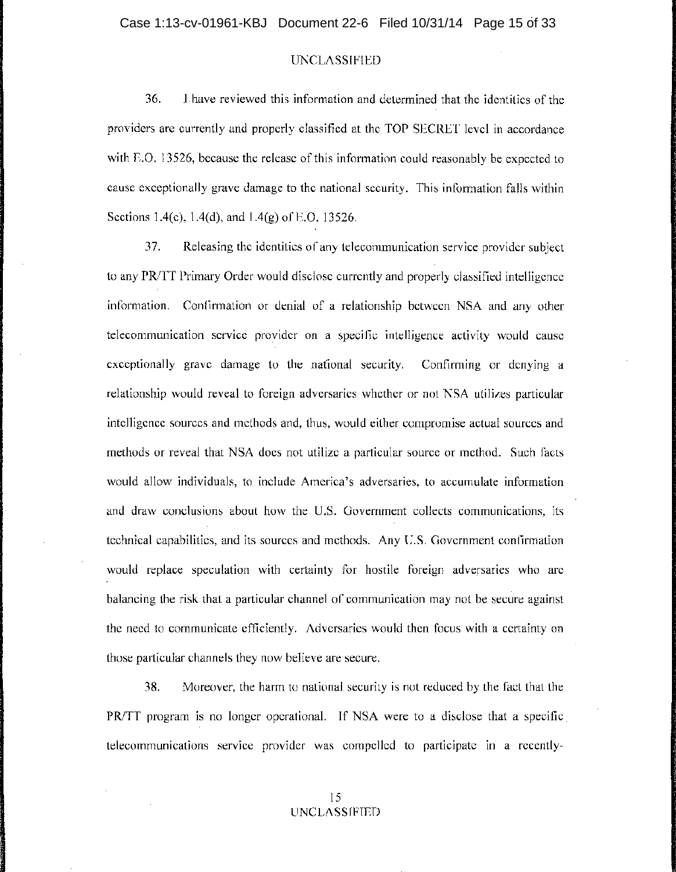36. Ihave reviewed this information and determined that the identities of the providers are currently and properly classified at the TOP SECRET level in accordance with E.O. 13526, because the release of this information could reasonably be expected to cause exceptionally grave damage to the national security. This information falls within Sections 1.4(c), 1.4(d), and 1.4(g) of E.O. 13526.

37. Releasing the identities of any telecommunication service provider subject to any PRITT Primary Order would disclose currently and properly classified intelligence information. Confirmation or denial of a relationship between NSA and any other telecommunication service provider on a specific intelligence activity would cause exceptionally grave damage to the national security. Confirming or denying a relationship would reveal to foreign adversaries whether or not NSA utilizes particular intelligence sources and methods and, thus, would either compromise actual sources and methods or reveal that NSA does not utilize a particular source or method. Such facts would allow individuals, to include America's adversaries, to accumulate information and draw conclusions about how the u.S. Government collects communications, its technical capabilities, and its sources and methods. Any U.S. Government confirmation would replace speculation with certainty for hostile foreign adversaries who are balancing the risk that a particular channel of communication may not be secure against the need to communicate efficiently. Adversaries would then focus with a certainty on those particular channels they now believe are secure.

38. Moreover, the harm to national security is not reduced by the fact that the PR/TT program is no longer operational. If NSA were to a disclose that a specific telecommunications service provider was compelled to participate in a recently-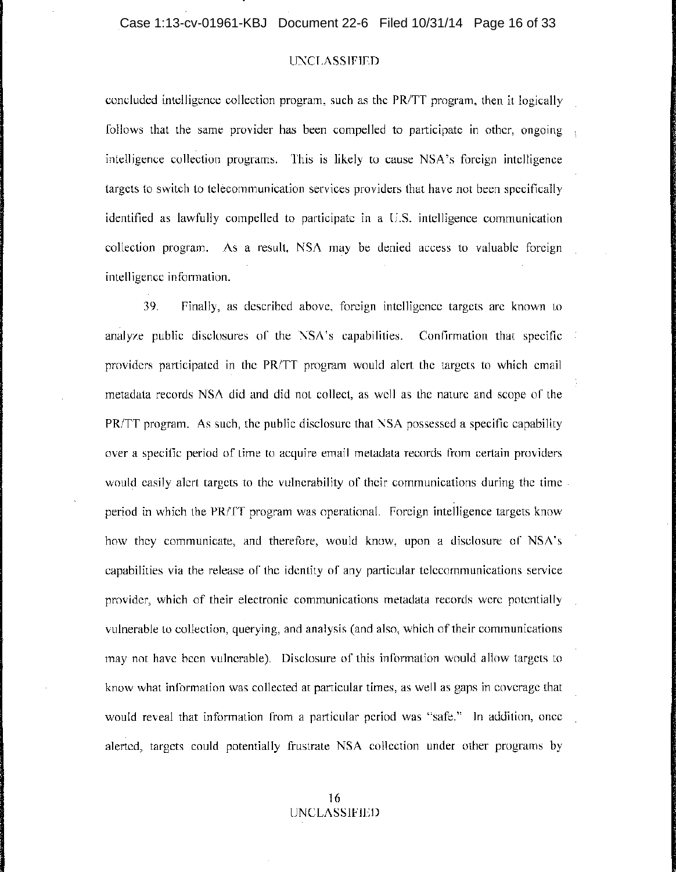concluded intelligence collection program, such as the PR/TT program, then it logically follows that the same provider has been compelled to participate in other, ongoing intelligence collection programs. This is likely to cause NSA's foreign intelligence targets to switch to telecommunication services providers that have not been specifically identified as lawfully compelled to participate in a U.S. intelligence communication collection program. As a result, NSA may be denied access to valuable foreign intelligence information.

39. Finally, as described above, foreign intelligence targets are known to analyze public disclosures of the NSA's capabilities. Confirmation that specific providers participated in the PRITT program would alert the targets to which email metadata records NSA did and did not collect, as well as the nature and scope of the PR/TT program. As such, the public disclosure that NSA possessed a specific capability over a specific period of time to acquire email metadata records from certain providers would easily alert targets to the vulnerability of their communications during the time period in which the PRITT program was operational. Foreign intelligence targets know how they communicate, and therefore, would know, upon a disclosure of NSA's capabilities via the release of the identity of any particular telecommunications service provider, which of their electronic communications metadata records were potentially vulnerable to collection, querying, and analysis (and also, which of their communications ! may not have been vulnerable). Disclosure of this information would allow targets to know what information was collected at particular times, as well as gaps in coverage that would reveal that information from a particular period was "safe." In addition, once alerted, targets could potentially frustrate NSA collection under other programs by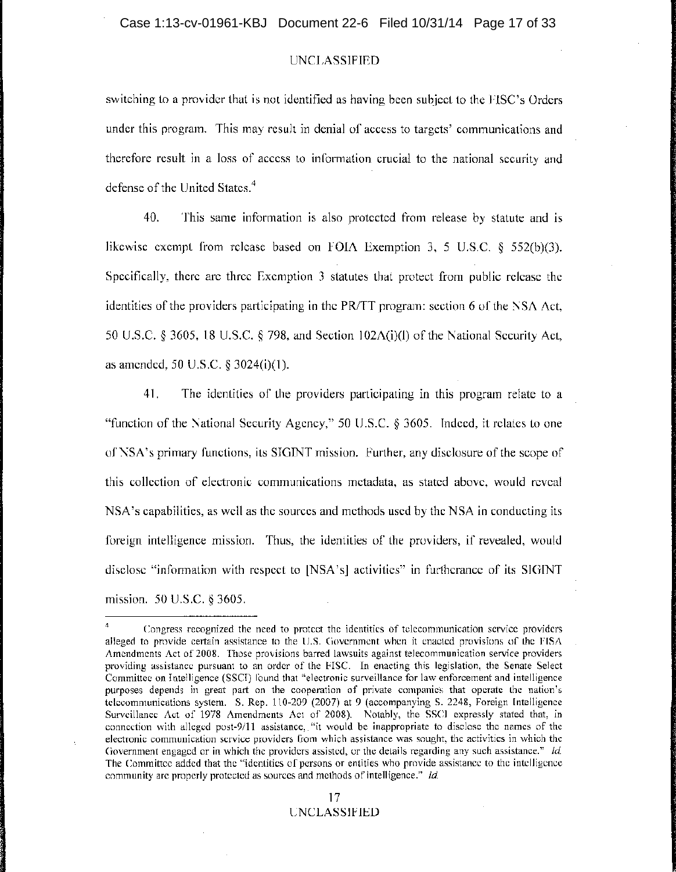switching to a provider that is not identified as having been subject to the FISC's Orders under this program. This may result in denial of access to targets' communications and therefore result in a loss of access to information crucial to the national security and defense of the United States.<sup>4</sup>

40. This same information is also protected from release by statute and is likewise exempt from release based on FOIA Exemption 3, 5 U.S.C. § 552(b)(3). Specifically, there are three Exemption 3 statutes that protect from public release the identities of the providers participating in the PRITT program: section 6 of the NSA Act, 50 U.S.C. § 3605, 18 U.S.C. § 798, and Section 102A(i)(l) of the National Security Act, as amended, 50 U.S.C. § 3024(i)(l).

41. The identities of the providers participating in this program relate to a "function of the National Security Agency," 50 U.S.C. § 3605. Indeed, it relates to one ofNSA's primary functions, its SIOINT mission. Further, any disclosure of the scope of this collection of electronic communications metadata, as stated above, would reveal NSA's capabilities, as well as the sources and methods used by the NSA in conducting its foreign intelligence mission. Thus, the identities of the providers, if revealed, would disclose "information with respect to [NSA's] activities" in furtherance of its SIOINT mission. 50 U.S.C. § 3605.

<sup>4</sup> Congress recognized the need to protect the identities of telecommunication service providers alleged to provide certain assistance to the U.S. Government when it enacted provisions of the FISA Amendments Act of 2008. Those provisions barred lawsuits against telecommunication service providers providing assistance pursuant to an order of the FISC. In enacting this legislation, the Senate Select Committee on Intelligence (SSCI) found that "electronic surveillance for law enforcement and intelligence purposes depends in great part on the cooperation of private companies that operate the nation's telecommunications system. S. Rep. 110-209 (2007) at 9 (accompanying S. 2248, Foreign Intelligence Surveillance Act of 1978 Amendments Act of 2008). Notably, the SSCI expressly stated that, in connection with alleged post-9/11 assistance, "it would be inappropriate to disclose the names of the electronic communication service providers from which assistance was sought, the activities in which the Government engaged or in which the providers assisted, or the details regarding any such assistance." *Id.*  The Committee added that the "identities of persons or entities who provide assistance to the intelligence community are properly protected as sources and methods of intelligence." *Id.*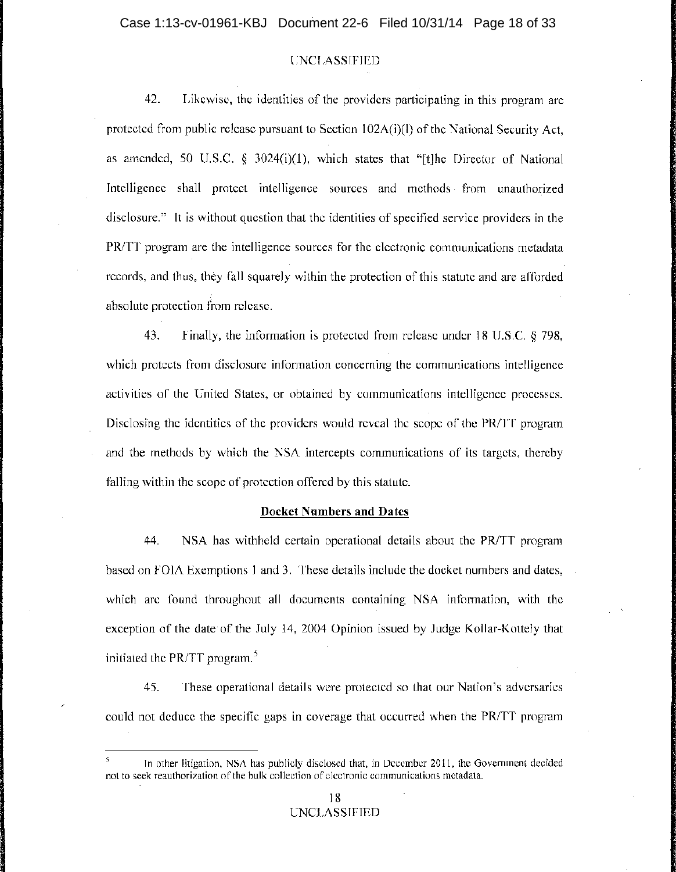42. Likewise, the identities of the providers participating in this program are protected from public release pursuant to Section 102A(i)(l) of the National Security Act, as amended, 50 U.S.C.  $\S$  3024(i)(1), which states that "[t]he Director of National Intelligence shall protect intelligence sources and methods, from unauthorized disclosure." It is without question that the identities of specified service providers in the PR/TT program are the intelligence sources for the electronic communications metadata records, and thus, they fall squarely within the protection of this statute and are afforded absolute protection from release.

43. Finally, the information is protected from release under 18 U.S.C. § 798, which protects from disclosure information concerning the communications intelligence activities of the United States, or obtained by communications intelligence processes. Disclosing the identities of the providers would reveal the scope of the PR/TT program and the methods by which the NSA intercepts communications of its targets, thereby falling within the scope of protection offered by this statute.

#### **Docket Numbers and Dates**

44. NSA has withheld certain operational details about the PR/TT program based on FOIA Exemptions 1 and 3. These details include the docket numbers and dates, which are found throughout all documents containing NSA information, with the exception of the date of the July 14, 2004 Opinion issued by Judge Kollar-Kottely that initiated the PR/TT program.<sup>5</sup>

45. These operational details were protected so that our Nation's adversaries could not deduce the specific gaps in coverage that occurred when the PRITT program

In other litigation, NSA has publicly disclosed that, in December 2011, the Government decided not to seek reauthorization of the bulk collection of electronic communications metadata.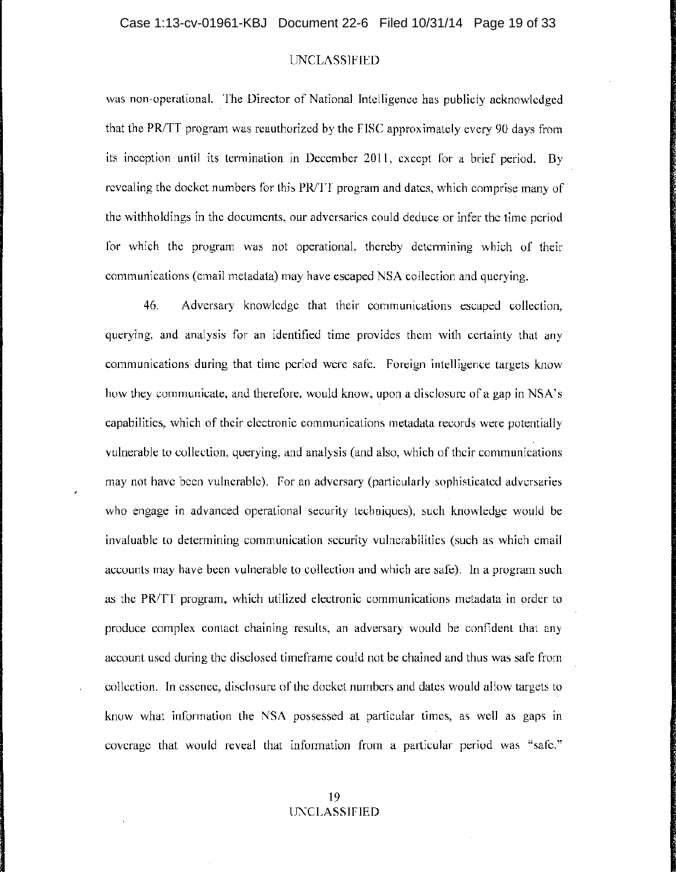was non-operational. The Director of National Intelligence has publicly acknowledged that the PR/TT program was reauthorized by the FISC approximately every 90 days from its inception until its termination in December 2011, except for a brief period. By revealing the docket numbers for this PR/TT program and dates, which comprise many of the withholdings in the documents, our adversaries could deduce or infer the time period for which the program was not operational, thereby determining which of their communications (email metadata) may have escaped NSA collection and querying.

46. Adversary knowledge that their communications escaped collection, querying, and analysis for an identified time provides them with certainty that any communications during that time period were safe. Foreign intelligence targets know how they communicate, and therefore, would know, upon a disclosure of a gap in NSA's capabilities, which of their electronic communications metadata records were potentially <sup>i</sup> vulnerable to collection, querying, and analysis (and also, which of their communications may not have been vulnerable). For an adversary (particularly sophisticated adversaries who engage in advanced operational security techniques), such knowledge would be invaluable to determining communication security vulnerabilities (such as which email accounts may have been vulnerable to collection and which are safe). In a program such as the  $PR/TT$  program, which utilized electronic communications metadata in order to produce complex contact chaining results, an adversary would be confident that any account used during the disclosed timeframe could not be chained and thus was safe from collection. In essence, disclosure of the docket numbers and dates would allow targets to know what information the NSA possessed at particular times, as well as gaps in coverage that would reveal that information from a particular period was "safe."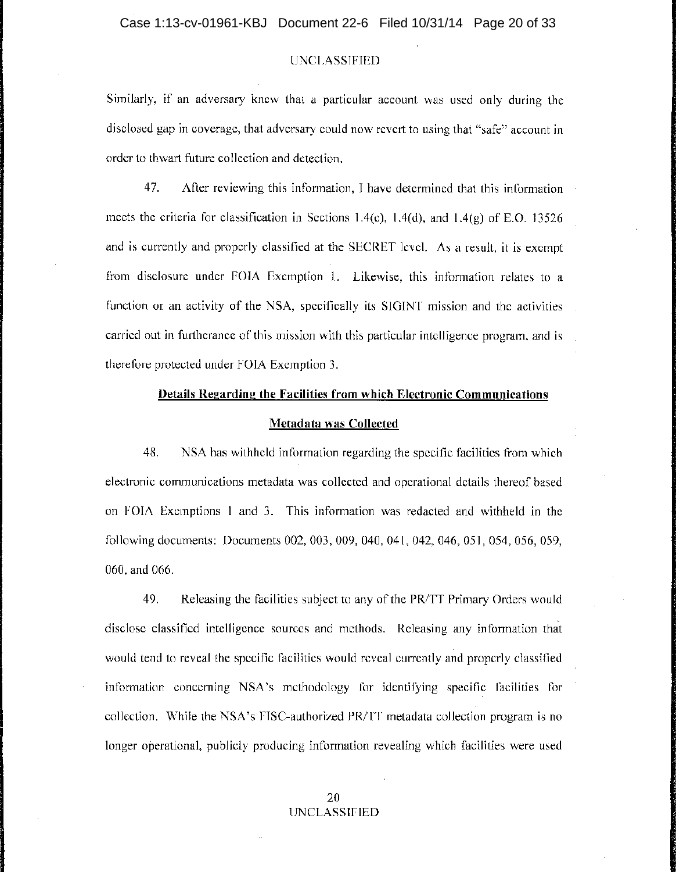Similarly, if an adversary knew that a particular account was used only during the disclosed gap in coverage, that adversary could now revert to using that "safe" account in order to thwart future collection and detection.

47. After reviewing this information, I have determined that this information meets the criteria for classification in Sections 1.4(c), 1.4(d), and 1.4(g) of E.O. 13526 and is currently and properly classified at the SECRET level. As a result, it is exempt from disclosure under FOIA Exemption 1. Likewise, this information relates to a function or an activity of the NSA, specifically its SIGINT mission and the activities carried out in furtherance of this mission with this particular intelligence program, and is therefore protected under FOIA Exemption 3.

### **Details Regarding the Facilities from which Electronic Communications**

#### **Metadata was Collected**

48. NSA has withheld information regarding the specific facilities from which electronic communications metadata was collected and operational details thereof based ' on FOIA Exemptions 1 and 3. This information was redacted and withheld in the following documents: Documents 002, 003, 009, 040, 041, 042, 046, 051, 054, 056, 059, 060, and 066.

49. Releasing the facilities subject to any of the PR/TT Primary Orders would c , disclose classified intelligence sources and methods. Releasing any information that would tend to reveal the specific facilities would reveal currently and properly classified information concerning NSA's methodology for identifying specific facilities for collection. While the NSA's FISC-authorized PR/TT metadata collection program is no longer operational, publicly producing information revealing which facilities were used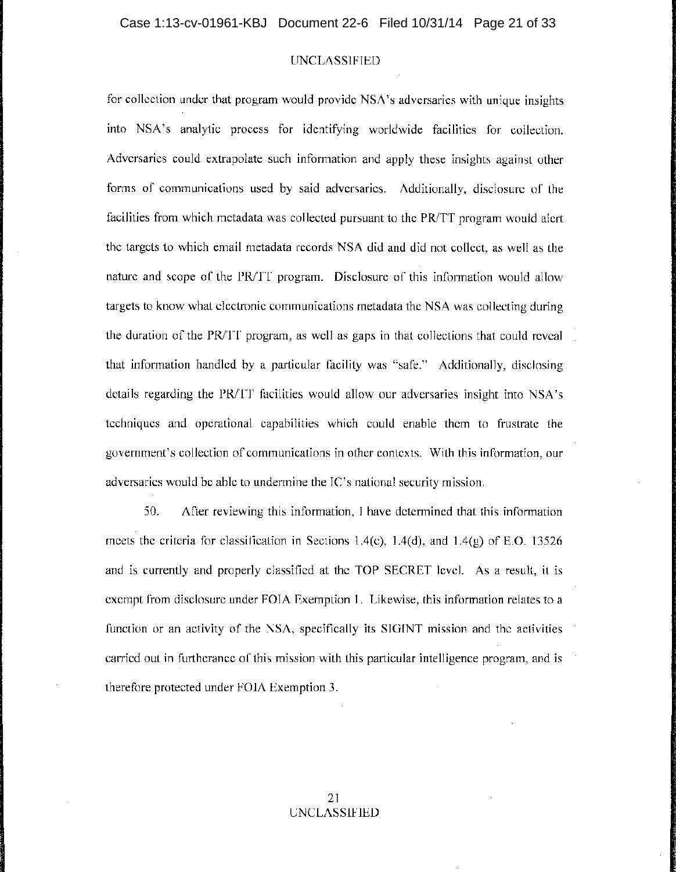for collection under that program would provide NSA's adversaries with unique insights into NSA's. analytic process for identifying worldwide facilities for collection. Adversaries could extrapolate such information and apply these insights against other forms of communications used by said adversaries. Additionally, disclosure of the facilities from which metadata was collected pursuant to the PR/TT program would alert the targets to which email metadata records NSA did and did not collect, as well as the nature and scope of the PR/TT program. Disclosure of this information would allow targets to know what electronic communications metadata the NSA was collecting during the duration of the PRITT program, as well as gaps in that collections that could reveal that information handled by a particular facility was "safe." Additionally, disclosing details regarding the PR/IT facilities would allow our adversaries insight into NSA's techniques and operational capabilities which could enable them to frustrate the government's collection of communications in other contexts. With this information, our adversaries would be able to undermine the IC's national security mission.

50. After reviewing this information, I have determined that this information meets the criteria for classification in Sections 1.4(c), 1.4(d), and 1.4(g) of E.O. 13526 and is currently and properly classified at the TOP SECRET level. As a result, it is exempt from disclosure under FOIA Exemption 1. Likewise, this information relates to a function or an activity of the NSA, specifically its SIGINT mission and the activities carried out in furtherance of this mission with this particular intelligence program, and is therefore protected under FOIA Exemption 3.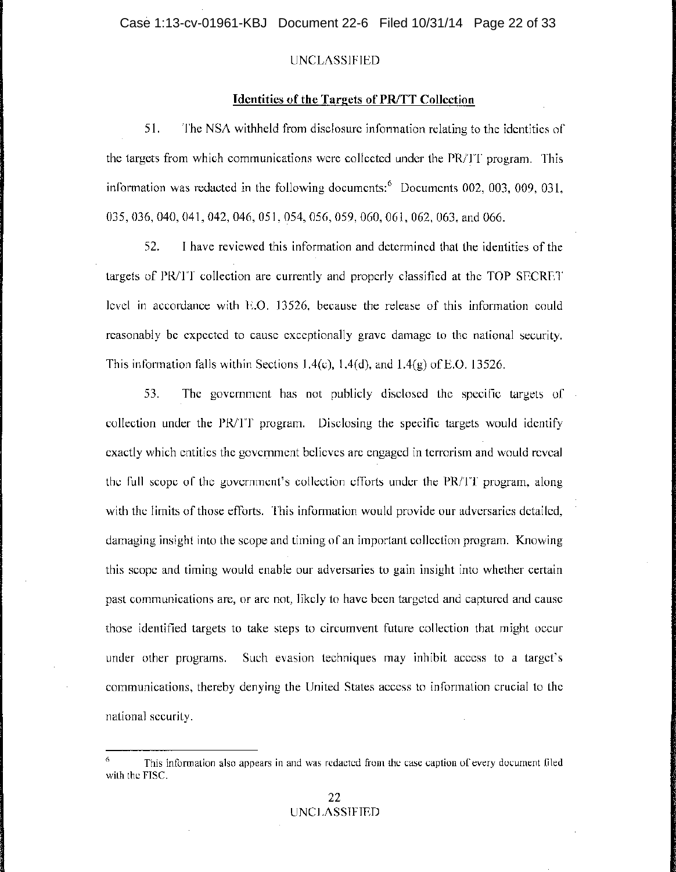#### **Identities of the Targets of PR/TT Collection**

51. The NSA withheld from disclosure information relating to the identities of the targets from which communications were collected under the PR/TT program. This information was redacted in the following documents: 6 Documents 002, 003, 009, 031, 035,036,040,041,042,046,051,054,056,059,060,061,062,063, and 066.

52. I have reviewed this information and determined that the identities of the targets of PR/IT collection are currently and properly classified at the TOP SECRET level in accordance with  $E.O.$  13526, because the release of this information could reasonably be expected to cause exceptionally grave damage to the national security. This information falls within Sections 1.4(c), 1.4(d), and  $1.4(g)$  of E.O. 13526.

53. The government has not publicly disclosed the specific targets of collection under the  $PR/TT$  program. Disclosing the specific targets would identify exactly which entities the government believes are engaged in terrorism and would reveal the full scope of the government's collection efforts under the  $PR/T$  program, along with the limits of those efforts. This information would provide our adversaries detailed, damaging insight into the scope and timing of an important collection program. Knowing this scope and timing would enable our adversaries to gain insight into whether certain past communications are, or are not, likely to have been targeted and captured and cause those identified targets to take steps to circumvent future collection that might occur under other programs. Such evasion techniques may inhibit access to a target's communications, thereby denying the United States access to information crucial to the national security.

This information also appears in and was redacted from the case caption of every document filed with the FISC.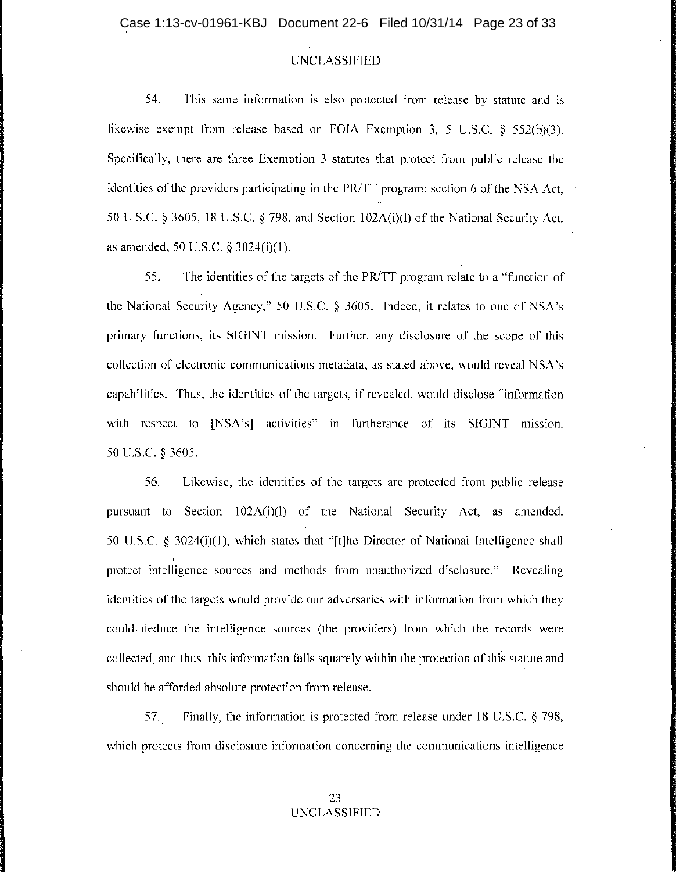54. This same information is also' protected from release by statute and is likewise exempt from release based on FOIA Exemption 3, 5 U.S.C. § 552(b)(3). Specifically, there are three Exemption 3 statutes that protect from public release the identities of the providers participating in the PR/TT program: section  $6$  of the NSA Act, 50 U.S.C. § 3605, 18 U.S.C. § 798, and Section 102A(i)(l) of the National Security Act, as amended, 50 U.S.C. § 3024(i)(I).

-' ,

55. The identities of the targets of the PR/TT program relate to a "function of the National Security Agency," 50 U.S.C. § 3605. Indeed, it relates to one of NSA's primary functions, its SIGINT mission. Further, any disclosure of the scope of this 'collection of electronic communications metadata, as stated above, would reveal NSA's capabilities. Thus, the identities of the targets, if revealed, would disclose "information with respect to [NSA's] activities" in furtherance of its SIGINT mission. 50 U.S.C. § 3605.

56. Likewise, the identities of the targets are protected from public release pursuant to Section 102A(i)(l) of the National Security Act, as amended, 50 U.S.C. § 3024(i)(1), which states that "[t]he Director of National Intelligence shall protect intelligence sources and methods from unauthorized disclosure." Revealing identities of the targets would provide our adversaries with information from which they could, deduce the intelligence sources (the providers) from which the records were collected, and thus, this information falls squarely within the protection of this statute and should be afforded absolute protection from release.

57. Finally, the information is protected from release under 18 U.S.C. § 798, which protects from disclosure information concerning the communications intelligence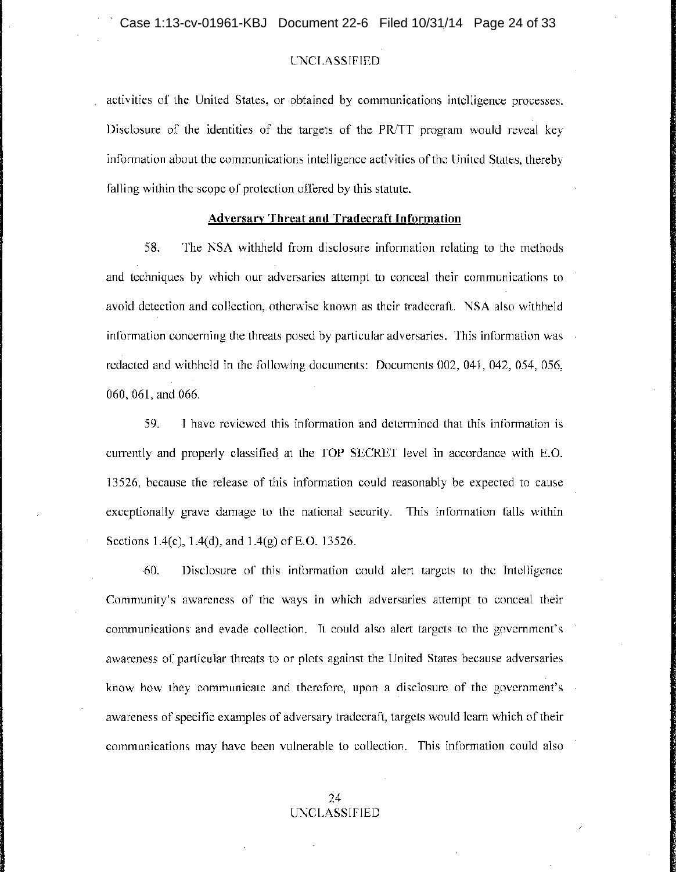activities of the United States, or obtained by communications intelligence processes. Disclosure of the identities of the targets of the PR/TT program would reveal key information about the communications intelligence activities of the United States, thereby falling within the scope of protection offered by this statute.

### Adversary **Threat and Tradecraft Information**

58. The NSA withheld from disclosure information relating to the methods ' and techniques by which our adversaries attempt to conceal their communications to <sup>i</sup> avoid detection and collection, otherwise known as their tradecraft. NSA also withheld information concerning the threats posed by particular adversaries. This information was. redacted and withheld in the following documents: Documents 002, 041, 042, 054, 056, 060, 061, and 066.

59. I have reviewed this information and determined that this information is currently and properly classified at the TOP SECRET level in accordance with E.O. 13526, because the release of this information could reasonably be expected to cause exceptionally grave damage to the national security. This information falls within Sections 1.4(c), 1.4(d), and 1.4(g) of E.O. 13526.

,60. Disclosure of this information could alert targets to the Intelligence Community's awareness of the ways in which adversaries attempt to conceal their communications and evade collection. It could also alert targets to the government's awareness of particular threats to or plots against the United States because adversaries know how they communicate and therefore, upon a disclosure of the government's awareness of specific examples of adversary tradecraft, targets would learn which of their communications may have been vulnerable to collection. This information could also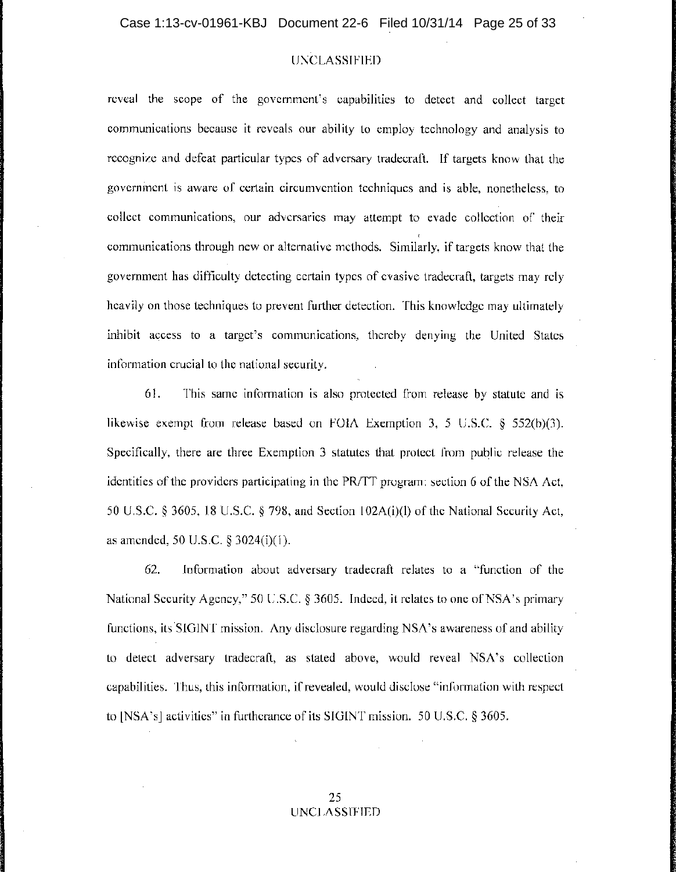reveal the scope of the government's capabilities to detect and collect target communications because it reveals our ability to employ technology and analysis to recognize and defeat particular types of adversary tradecraft. If targets know that the government is aware of certain circumvention techniques and is able, nonetheless, to collect communications, our adversaries may attempt to evade collection of their communications through new or alternative methods: Similarly, if targets know that the government has difficulty detecting certain types of evasive tradecraft, targets may rely heavily on those techniques to prevent further detection. This knowledge may ultimately inhibit access to a target's communications, thereby denying the United States information crucial to the national security.

61. This same information is also protected from release by statute and is likewise exempt from release based on FOIA Exemption 3, 5 U.S.C. § 552(b)(3). Specifically, there are three Exemption 3 statutes that protect from public release the identities of the providers participating in the PRITT program: section 6 of the NSA Act, 50 U.S.C. § 3605, 18 U.S.C. § 798, and Section 102A(i)(l) of the National Security Act, as amended, 50 U.S.C. § 3024(i)(1).

62. Information about adversary tradecraft relates to a "function of the National Security Agency," 50 U.S.C. § 3605. Indeed, it relates to one of NSA's primary functions, its 'SIGINT mission. Any disclosure regarding NSA's awareness of and ability to detect adversary tradecraft, as stated above, would reveal NSA's collection capabilities. Thus, this information, if revealed, would disclose "information with respect to [NSA's] activities" in furtherance of its SIGINT mission. 50 U.S.C. § 3605.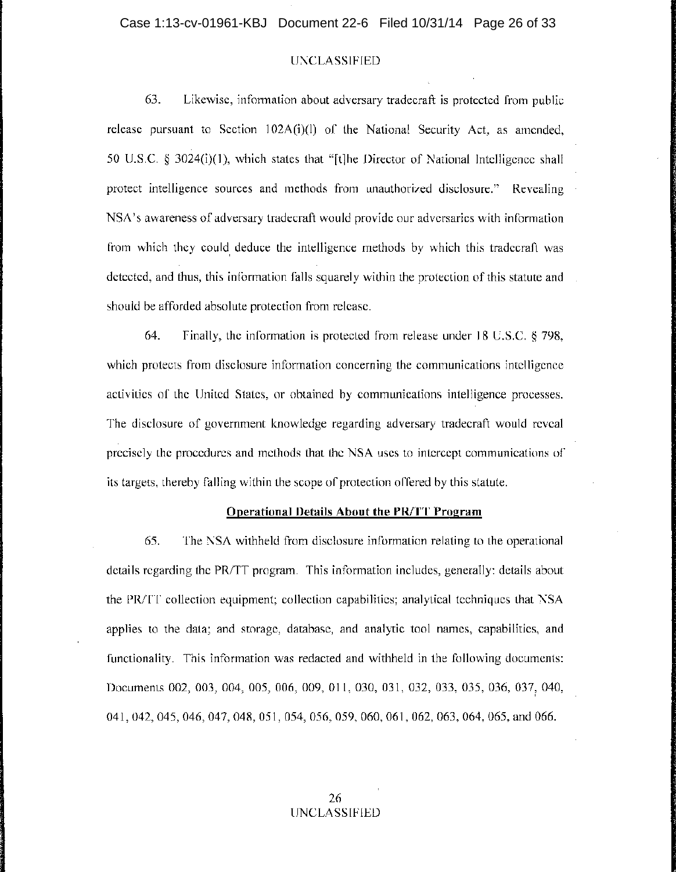63. Likewise, information about adversary tradecraft is protected from public release pursuant to Section 102A(i)(1) of the National Security Act, as amended, 50 U.S.C. § 3024(i)(l), which states that "[t]he Director of National Intelligence shall protect intelligence sources and methods from unauthorized disclosure." Revealing NSA's awareness of adversary tradecraft would provide our adversaries with information from which they could, deduce the intelligence methods by which this tradecraft was detected, and thus, this information falls squarely within the protection of this statute and should be afforded absolute protection from release.

64. Finally, the information is protected from release under 18 U.S.C. § 798, which protects from disclosure information concerning the communications intelligence activities of the United States, or obtained by communications intelligence processes. The disclosure of government knowledge regarding adversary tradecraft would reveal precisely the procedures and methods that the NSA uses to intercept communications of its targets, thereby falling within the scope of protection offered by this statute.

#### **Operational Details About the PR/TT Program**

65. The NSA withheld from disclosure information relating to the operational <sup>I</sup> details regarding the PR/TT program. This information includes, generally: details about the PRITT collection equipment; collection capabilities; analytical techniques that NSA <sup>I</sup> applies to the data; and storage, database, and analytic tool names, capabilities, and <sup>i</sup> functionality. This information was redacted and withheld in the following documents: Documents 002, 003, 004, 005, 006, 009, 011, 030, 031, 032, 033, 035, 036, 037, 040, 041, 042, 045, 046, 047, 048, 051, 054, 056, 059, 060, 061, 062, 063, 064, 065, and 066.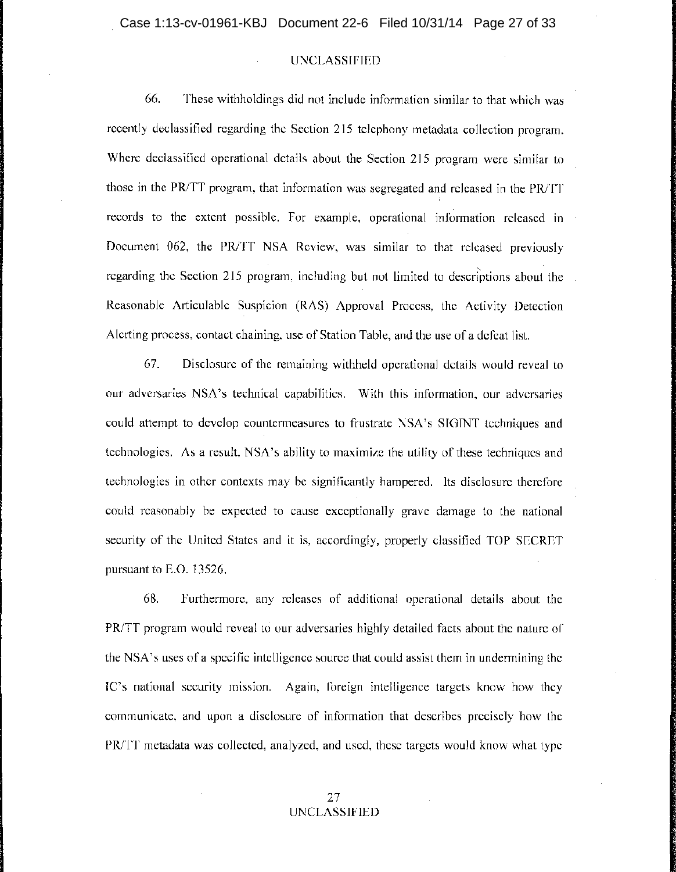66. These withholdings did not include information similar to that which was recently declassified regarding the Section 215 telephony metadata collection program. Where declassified operational. details about the Section 215 program were similar to those in the *PRiTT* program, that information was segregated and released in the *PRiTT*  records to the extent possible. For example, operational information released in Document 062, the *PRiTT* NSA Review, was similar to that released previously regarding the Section 215 program, including but not limited to descriptions about the Reasonable Articulable Suspicion (RAS) Approval Process, the Activity Detection Alerting process, contact chaining, use of Station Table, and the use of a defeat list.

67. Disclosure of the remaining withheld operational details would reveal to our adversaries NSA's technical capabilities. With this information, our adversaries could attempt to develop countermeasures to frustrate NSA's SIGINT techniques and technologies. As a result, NSA's ability to maximize the utility of these techniques and technologies in other contexts may be significantly hampered. Its disclosure therefore could reasonably be expected to cause exceptionally grave damage to the national security of the United States and it is, accordingly, properly classified TOP SECRET pursuant to E.O. 13526.

68. Furthermore, any releases of additional operational details about the *PR*/TT program would reveal to our adversaries highly detailed facts about the nature of the NSA's uses of a specific intelligence source that could assist them in undermining the IC's national security mission. Again, foreign intelligence targets know how they communicate, and upon a disclosure of information that describes precisely how the *PR*/TT metadata was collected, analyzed, and used, these targets would know what type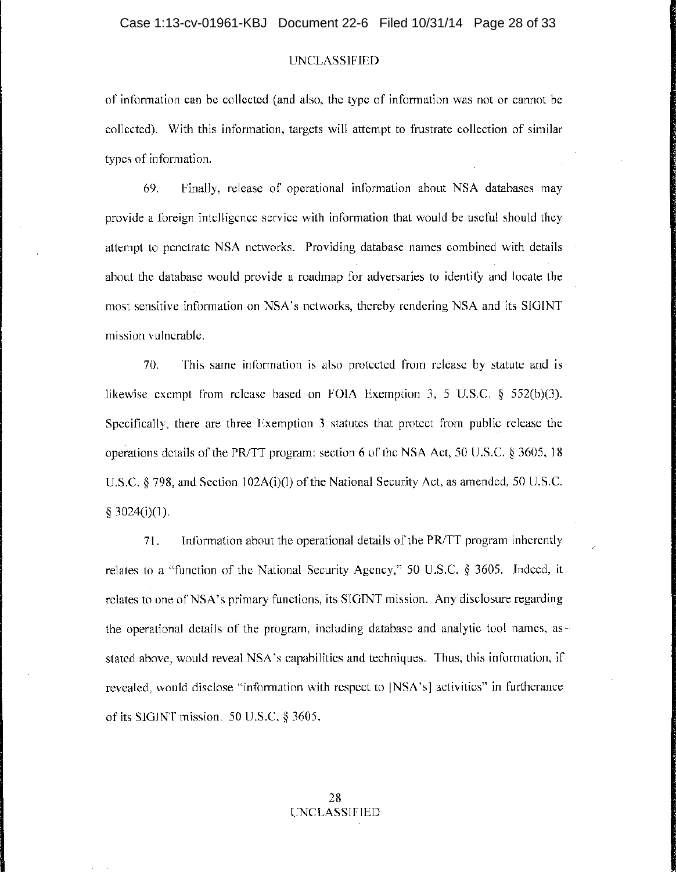of information can be collected (and also, the type of information was not or cannot be collected). With this information, targets will attempt to frustrate collection of similar types of information.

69. Finally, release of operational information about NSA databases may provide a foreign intelligence service with information that would be useful should they attempt to penetrate NSA networks. Providing database names combined with details about the database would provide a roadmap for adversaries to identify and locate the most sensitive information on NSA's networks, thereby rendering NSA and its SIGINT mission vulnerable.

70. This same information is also protected from release by statute and is likewise exempt from release based on FOIA Exemption 3, 5 U.S.C. § 552(b)(3). Specifically, there are three Exemption 3 statutes that protect from public release the operations details of the PR/TT program: section 6 of the NSA Act, 50 U.S.C. § 3605, 18 U.S.C. § 798, and Section 102A(i)(I) of the National Security Act, as amended, 50 U.S.C. § 3024(i)(1).

71. Information about the operational details of the PR/TT program inherently relates to a "function of the National Security Agency," 50 U.S.C. § 3605. Indeed, it relates to one of NSA's primary functions, its SIGINT mission. Any disclosure regarding the operational details of the program, including database and analytic tool names, asstated above, would reveal NSA's capabilities and techniques. Thus, this information, if revealed, would disclose "information with respect to [NSA's] activities" in furtherance of its SIGINT mission. 50 U.S.C. § 3605.

/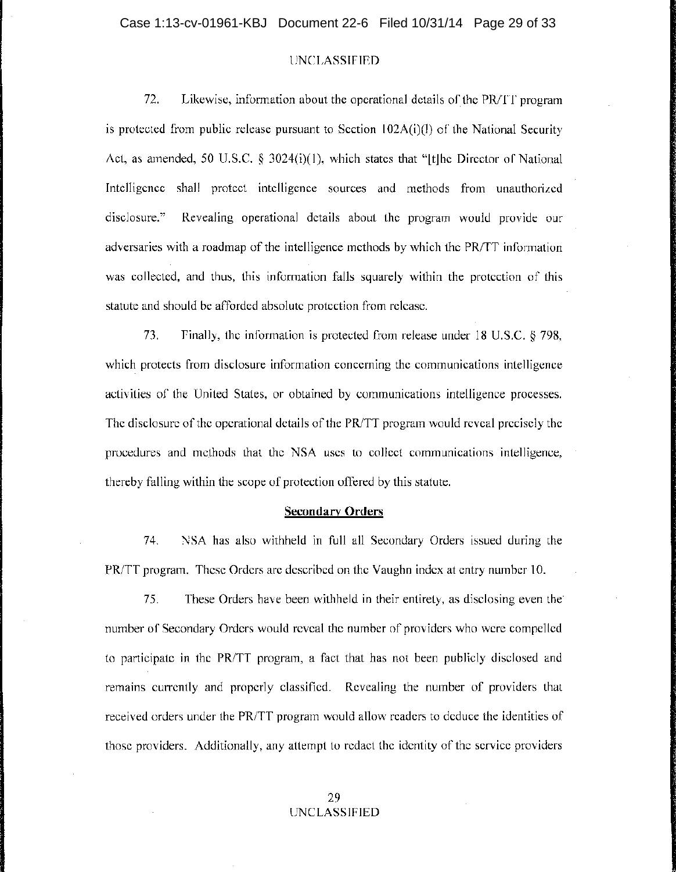### Case 1:13-cv-01961-KBJ Document 22-6 Filed 10/31/14 Page 29 of 33

# UNCLASSIFIED

72. Likewise, information about the operational details of the PR/IT program is protected from public release pursuant to Section  $102A(i)(l)$  of the National Security Act, as amended, 50 U.S.C. § 3024(i)(1), which states that "[t]he Director of National Intelligence shall protect intelligence sources and methods from unauthorized disclosure." Revealing operational details about the program would provide our ' adversaries with a roadmap of the intelligence methods by which the PR/TT information was collected, and thus, this information falls squarely within the protection of this statute and should be afforded absolute protection from release.

73. Finally, the information is protected from release under 18 U.S.C. § 798, which protects from disclosure information concerning the communications intelligence activities of the United States, or obtained by communications intelligence processes. The disclosure of the operational details of the PR/TT program would reveal precisely the procedures and methods that the NSA uses to collect communications intelligence, thereby falling within the scope of protection offered by this statute.

#### **Secondary Orders**

74. NSA has also withheld in full all Secondary Orders issued during the PR/TT program. These Orders are described on the Vaughn index at entry number 10.

75. These Orders have been withheld in their entirety,~as disclosing even the' number of Secondary Orders would reveal the number of providers who were compelled to participate in the PRITT program, a fact that has not been publicly disclosed and remains currently and properly classified. Revealing the number of providers that received orders under the PRITT program would allow readers to deduce the identities of those providers. Additionally, any attempt to redact the identity of the service providers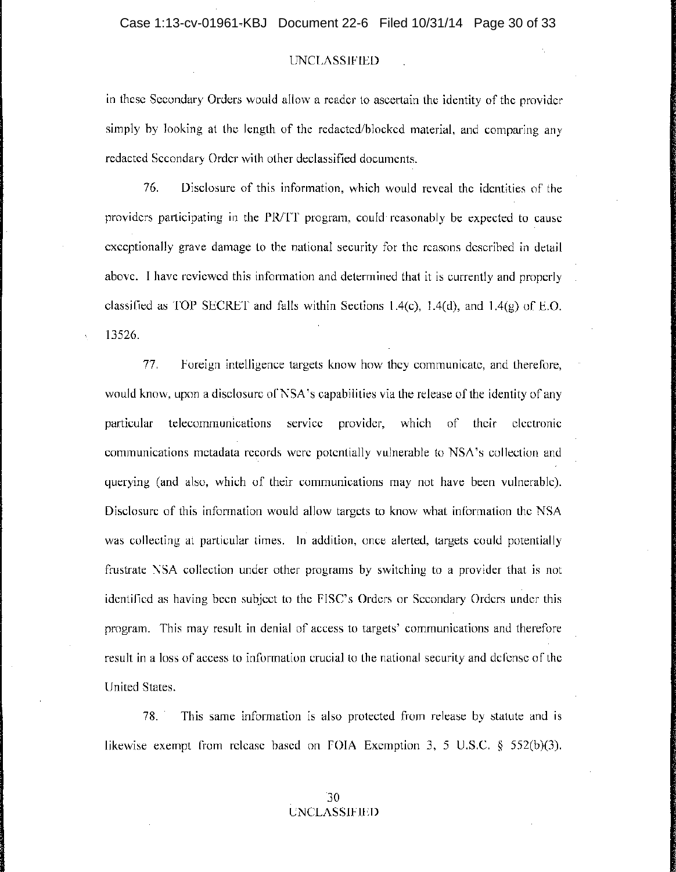in these Secondary Orders would allow a reader to ascertain the identity of the provider simply by looking at the length of the redacted/blocked material, and comparing any redacted Secondary Order with other declassified documents.

76. Disclosure of this information, which would reveal the identities of the providers participating in the PR/TT program, could reasonably be expected to cause exceptionally grave damage to the national security for the reasons described in detail above. I have reviewed this information and determined that it is currently and properly classified as TOP SECRET and falls within Sections 1.4(c), 1.4(d), and 1.4(g) of E.O. 13526.

77. Foreign intelligence targets know how they communicate, and therefore, would know, upon a disclosure of NSA's capabilities via the release of the identity of any particular telecommunications service provider, which of their electronic communications metadata records were potentially vulnerable to NSA's collection and querying (and also, which of their communications may not have been vulnerable). Disclosure of this information would allow targets to know what information the NSA was collecting at particular times. In addition, once alerted, targets could potentially frustrate NSA collection under other programs by switching to a provider that is not identified as having been subject to the FISC's Orders or Secondary Orders under this program. This may result in denial of access to targets' communications and therefore result in a loss of access to information crucial to the national security and defense of the United States.

78. This same information is also protected from release by statute and is likewise exempt from release based on FOIA Exemption 3, 5 U.S.C. § 552(b)(3).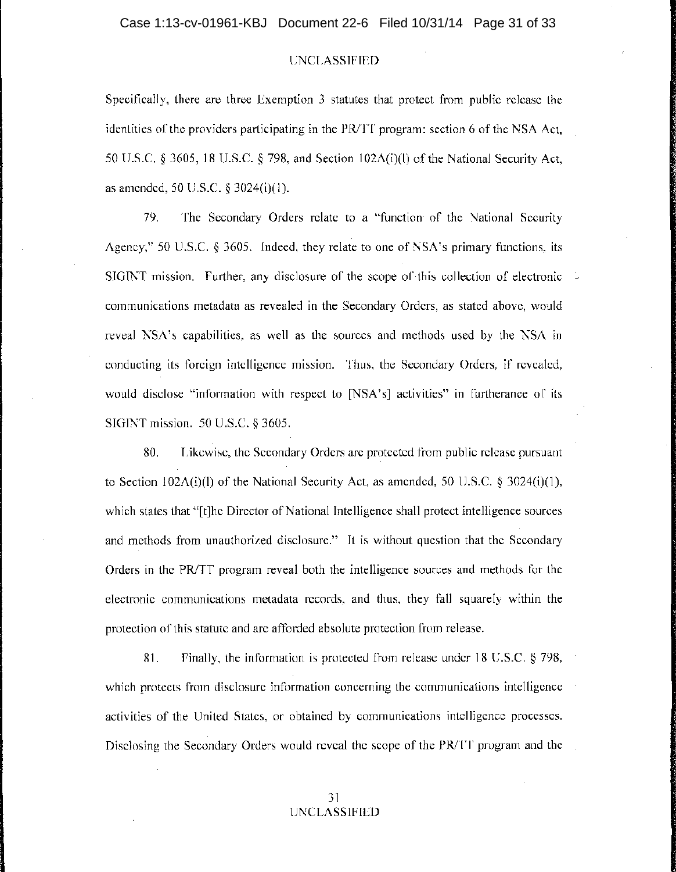Specifically, there are three Exemption 3 statutes that protect from public release the identities of the providers participating in the PRITT program: section 6 of the NSA Act, 50 U.S.C. § 3605, 18 U.S.C. § 798, and Section 102A(i)(l) of the National Security Act, as amended, 50 U.S.C. § 3024(i)(1).

79. The Secondary Orders relate to a "function of the National Security Agency;" 50 U.S.C.  $\S$  3605. Indeed, they relate to one of NSA's primary functions, its SIGINT mission. Further, any disclosure of the scope of this collection of electronic  $\sim$ communications metadata as revealed in the Secondary Orders, as stated above, would reveal NSA's capabilities, as well as the sources and methods used by the NSA in conducting its foreign intelligence mission. Thus, the Secondary Orders, if revealed, would disclose "information with respect to [NSA's] activities" in furtherance of its SIGINT mission. 50 U.S.C. § 3605.

80. Likewise, the Secondary Orders are protected from public release pursuant to Section  $102A(i)(1)$  of the National Security Act, as amended, 50 U.S.C. § 3024(i)(1), which states that "[t]he Director of National Intelligence shall protect intelligence sources and methods from unauthorized disclosure." It is without question that the Secondary Orders in the PRITT program reveal both the intelligence sources and methods for the electronic communications metadata records, and thus, they fall squarely within the protection of this statute and are afforded absolute protection from release.

81. Finally, the information is protected from release under 18 U.S.C. § 798, which protects from disclosure information concerning the communications intelligence activities of the United States, or obtained by communications intelligence processes. Disclosing the Secondary Orders would reveal the scope of the PR/IT program and the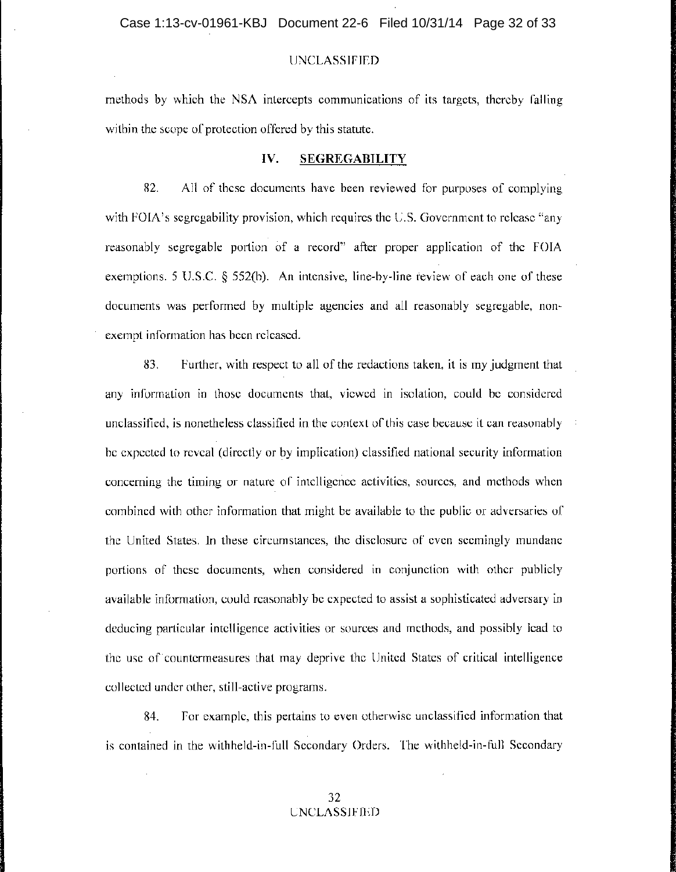### Case 1:13-cv-01961-KBJ Document 22-6 Filed 10/31/14 Page 32 of 33

### UNCLASSIFIED

methods by which the NSA intercepts communications of its targets, thereby falling within the scope of protection offered by this statute.

# **IV. SEGREGABILITY**

82. All of these documents have been reviewed for purposes of complying with FOIA's segregability provision, which requires the U.S. Government to release "any reasonably segregable portion of a record" after proper application of the FOIA exemptions. 5 U.S.C. § 552(b). An intensive, line-by-line review of each one of these documents was performed by multiple agencies and all reasonably segregable, nonexempt information has been released.

83. Further, with respect to all of the redactions taken, it is my judgment that any information in those documents that, viewed in isolation, could be considered unclassified, is nonetheless classified in the context of this case because it can reasonably be expected to reveal (directly or by implication) classified national security information concerning the timing or nature of intelligence activities, sources, and methods when combined with other information that might be available to the public or adversaries of the United States. In these circumstances, the disclosure of even seemingly mundane portions of these documents, when considered in conjunction with other publicly available information, could reasonably be expected to assist a sophisticated adversary in deducing particular intelligence activities or sources and methods, and possibly lead to the use of' countermeasures that may deprive the United States of critical intelligence collected under other, still-active programs.

84. For example, this pertains to even otherwise unclassified information that is contained in the withheld-in-full Secondary Orders. The withheld-in-full Secondary